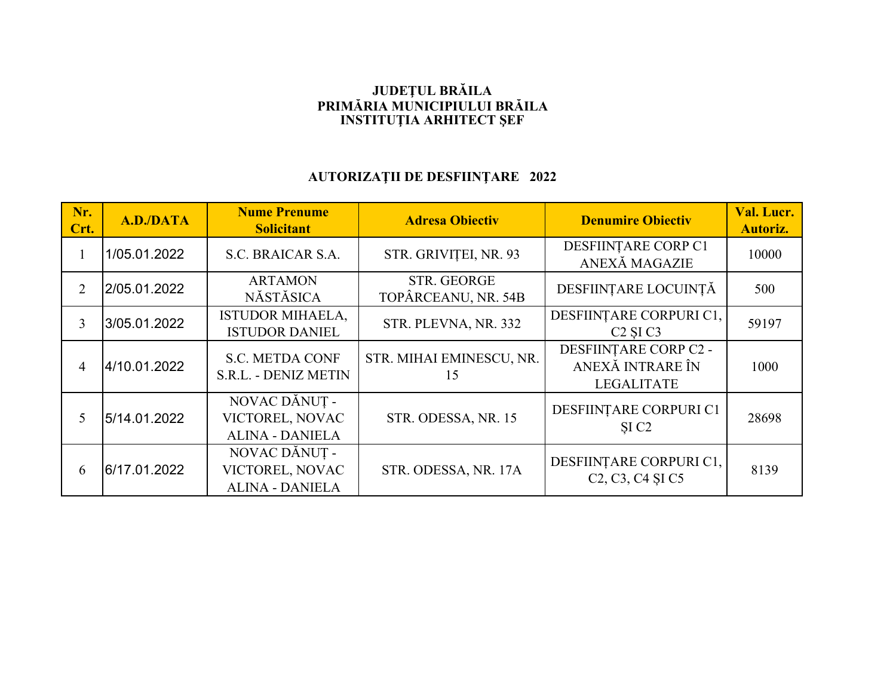## **JUDEŢUL BRĂILA PRIMĂRIA MUNICIPIULUI BRĂILA INSTITUŢIA ARHITECT ŞEF**

## **AUTORIZAŢII DE DESFIINŢARE 2022**

| Nr.<br>Crt.    | A.D./DATA    | <b>Nume Prenume</b><br><b>Solicitant</b>                   | <b>Adresa Obiectiv</b>                    | <b>Denumire Obiectiv</b>                                                                                  | Val. Lucr.<br><b>Autoriz.</b> |
|----------------|--------------|------------------------------------------------------------|-------------------------------------------|-----------------------------------------------------------------------------------------------------------|-------------------------------|
|                | 1/05.01.2022 | S.C. BRAICAR S.A.                                          | STR. GRIVIȚEI, NR. 93                     | DESFIINTARE CORP C1<br>ANEXĂ MAGAZIE                                                                      | 10000                         |
| 2              | 2/05.01.2022 | <b>ARTAMON</b><br>NĂSTĂSICA                                | <b>STR. GEORGE</b><br>TOPÂRCEANU, NR. 54B | DESFIINȚARE LOCUINȚĂ                                                                                      | 500                           |
| $\overline{3}$ | 3/05.01.2022 | <b>ISTUDOR MIHAELA,</b><br><b>ISTUDOR DANIEL</b>           | STR. PLEVNA, NR. 332                      | DESFIINȚARE CORPURI C1,<br>C <sub>2</sub> SI <sub>C<sub>3</sub></sub>                                     | 59197                         |
| 4              | 4/10.01.2022 | <b>S.C. METDA CONF</b><br><b>S.R.L. - DENIZ METIN</b>      | STR. MIHAI EMINESCU, NR.<br>15            | DESFIINTARE CORP C2 -<br>ANEXĂ INTRARE ÎN<br><b>LEGALITATE</b>                                            | 1000                          |
| 5              | 5/14.01.2022 | NOVAC DĂNUȚ -<br>VICTOREL, NOVAC<br><b>ALINA - DANIELA</b> | STR. ODESSA, NR. 15                       | DESFIINȚARE CORPURI C1<br>SI <sub>C2</sub>                                                                | 28698                         |
| 6              | 6/17.01.2022 | NOVAC DĂNUȚ -<br>VICTOREL, NOVAC<br><b>ALINA - DANIELA</b> | STR. ODESSA, NR. 17A                      | DESFIINȚARE CORPURI C1,<br>C <sub>2</sub> , C <sub>3</sub> , C <sub>4</sub> S <sub>I</sub> C <sub>5</sub> | 8139                          |